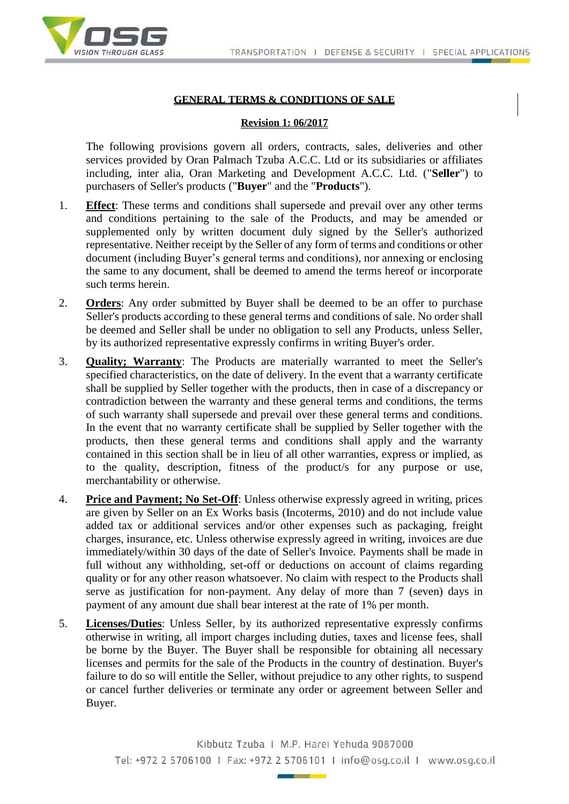

## **GENERAL TERMS & CONDITIONS OF SALE**

## **Revision 1: 06/2017**

The following provisions govern all orders, contracts, sales, deliveries and other services provided by Oran Palmach Tzuba A.C.C. Ltd or its subsidiaries or affiliates including, inter alia, Oran Marketing and Development A.C.C. Ltd. ("**Seller**") to purchasers of Seller's products ("**Buyer**" and the "**Products**").

- 1. **Effect**: These terms and conditions shall supersede and prevail over any other terms and conditions pertaining to the sale of the Products, and may be amended or supplemented only by written document duly signed by the Seller's authorized representative. Neither receipt by the Seller of any form of terms and conditions or other document (including Buyer's general terms and conditions), nor annexing or enclosing the same to any document, shall be deemed to amend the terms hereof or incorporate such terms herein.
- 2. **Orders**: Any order submitted by Buyer shall be deemed to be an offer to purchase Seller's products according to these general terms and conditions of sale. No order shall be deemed and Seller shall be under no obligation to sell any Products, unless Seller, by its authorized representative expressly confirms in writing Buyer's order.
- 3. **Quality; Warranty**: The Products are materially warranted to meet the Seller's specified characteristics, on the date of delivery. In the event that a warranty certificate shall be supplied by Seller together with the products, then in case of a discrepancy or contradiction between the warranty and these general terms and conditions, the terms of such warranty shall supersede and prevail over these general terms and conditions. In the event that no warranty certificate shall be supplied by Seller together with the products, then these general terms and conditions shall apply and the warranty contained in this section shall be in lieu of all other warranties, express or implied, as to the quality, description, fitness of the product/s for any purpose or use, merchantability or otherwise.
- 4. **Price and Payment; No Set-Off**: Unless otherwise expressly agreed in writing, prices are given by Seller on an Ex Works basis (Incoterms, 2010) and do not include value added tax or additional services and/or other expenses such as packaging, freight charges, insurance, etc. Unless otherwise expressly agreed in writing, invoices are due immediately/within 30 days of the date of Seller's Invoice. Payments shall be made in full without any withholding, set-off or deductions on account of claims regarding quality or for any other reason whatsoever. No claim with respect to the Products shall serve as justification for non-payment. Any delay of more than 7 (seven) days in payment of any amount due shall bear interest at the rate of 1% per month.
- 5. **Licenses/Duties**: Unless Seller, by its authorized representative expressly confirms otherwise in writing, all import charges including duties, taxes and license fees, shall be borne by the Buyer. The Buyer shall be responsible for obtaining all necessary licenses and permits for the sale of the Products in the country of destination. Buyer's failure to do so will entitle the Seller, without prejudice to any other rights, to suspend or cancel further deliveries or terminate any order or agreement between Seller and Buyer.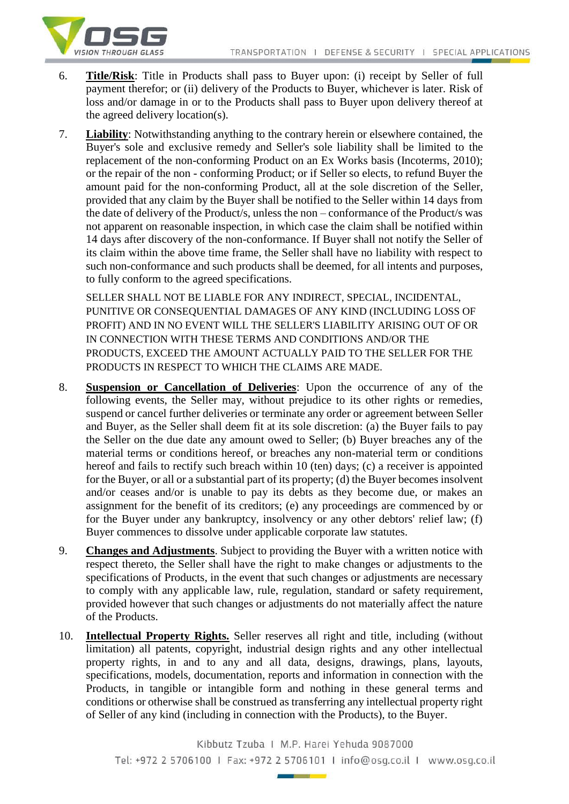

- 6. **Title/Risk**: Title in Products shall pass to Buyer upon: (i) receipt by Seller of full payment therefor; or (ii) delivery of the Products to Buyer, whichever is later. Risk of loss and/or damage in or to the Products shall pass to Buyer upon delivery thereof at the agreed delivery location(s).
- 7. **Liability**: Notwithstanding anything to the contrary herein or elsewhere contained, the Buyer's sole and exclusive remedy and Seller's sole liability shall be limited to the replacement of the non-conforming Product on an Ex Works basis (Incoterms, 2010); or the repair of the non - conforming Product; or if Seller so elects, to refund Buyer the amount paid for the non-conforming Product, all at the sole discretion of the Seller, provided that any claim by the Buyer shall be notified to the Seller within 14 days from the date of delivery of the Product/s, unless the non – conformance of the Product/s was not apparent on reasonable inspection, in which case the claim shall be notified within 14 days after discovery of the non-conformance. If Buyer shall not notify the Seller of its claim within the above time frame, the Seller shall have no liability with respect to such non-conformance and such products shall be deemed, for all intents and purposes, to fully conform to the agreed specifications.

SELLER SHALL NOT BE LIABLE FOR ANY INDIRECT, SPECIAL, INCIDENTAL, PUNITIVE OR CONSEQUENTIAL DAMAGES OF ANY KIND (INCLUDING LOSS OF PROFIT) AND IN NO EVENT WILL THE SELLER'S LIABILITY ARISING OUT OF OR IN CONNECTION WITH THESE TERMS AND CONDITIONS AND/OR THE PRODUCTS, EXCEED THE AMOUNT ACTUALLY PAID TO THE SELLER FOR THE PRODUCTS IN RESPECT TO WHICH THE CLAIMS ARE MADE.

- 8. **Suspension or Cancellation of Deliveries**: Upon the occurrence of any of the following events, the Seller may, without prejudice to its other rights or remedies, suspend or cancel further deliveries or terminate any order or agreement between Seller and Buyer, as the Seller shall deem fit at its sole discretion: (a) the Buyer fails to pay the Seller on the due date any amount owed to Seller; (b) Buyer breaches any of the material terms or conditions hereof, or breaches any non-material term or conditions hereof and fails to rectify such breach within 10 (ten) days; (c) a receiver is appointed for the Buyer, or all or a substantial part of its property; (d) the Buyer becomes insolvent and/or ceases and/or is unable to pay its debts as they become due, or makes an assignment for the benefit of its creditors; (e) any proceedings are commenced by or for the Buyer under any bankruptcy, insolvency or any other debtors' relief law; (f) Buyer commences to dissolve under applicable corporate law statutes.
- 9. **Changes and Adjustments**. Subject to providing the Buyer with a written notice with respect thereto, the Seller shall have the right to make changes or adjustments to the specifications of Products, in the event that such changes or adjustments are necessary to comply with any applicable law, rule, regulation, standard or safety requirement, provided however that such changes or adjustments do not materially affect the nature of the Products.
- 10. **Intellectual Property Rights.** Seller reserves all right and title, including (without limitation) all patents, copyright, industrial design rights and any other intellectual property rights, in and to any and all data, designs, drawings, plans, layouts, specifications, models, documentation, reports and information in connection with the Products, in tangible or intangible form and nothing in these general terms and conditions or otherwise shall be construed as transferring any intellectual property right of Seller of any kind (including in connection with the Products), to the Buyer.